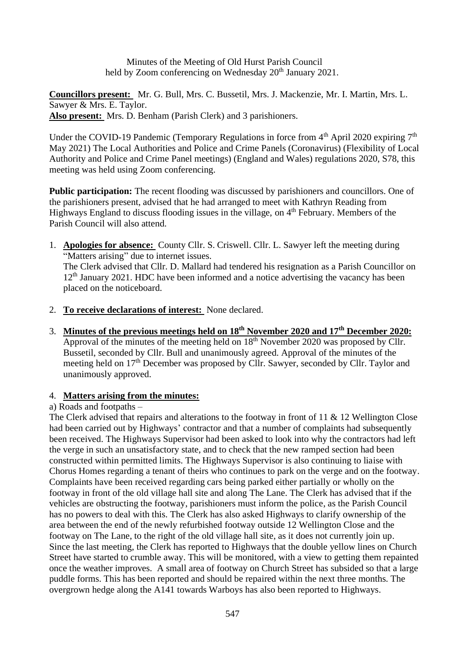Minutes of the Meeting of Old Hurst Parish Council held by Zoom conferencing on Wednesday  $20<sup>th</sup>$  January 2021.

**Councillors present:** Mr. G. Bull, Mrs. C. Bussetil, Mrs. J. Mackenzie, Mr. I. Martin, Mrs. L. Sawyer & Mrs. E. Taylor. **Also present:** Mrs. D. Benham (Parish Clerk) and 3 parishioners.

Under the COVID-19 Pandemic (Temporary Regulations in force from  $4<sup>th</sup>$  April 2020 expiring  $7<sup>th</sup>$ May 2021) The Local Authorities and Police and Crime Panels (Coronavirus) (Flexibility of Local Authority and Police and Crime Panel meetings) (England and Wales) regulations 2020, S78, this meeting was held using Zoom conferencing.

**Public participation:** The recent flooding was discussed by parishioners and councillors. One of the parishioners present, advised that he had arranged to meet with Kathryn Reading from Highways England to discuss flooding issues in the village, on 4<sup>th</sup> February. Members of the Parish Council will also attend.

1. **Apologies for absence:** County Cllr. S. Criswell. Cllr. L. Sawyer left the meeting during "Matters arising" due to internet issues.

The Clerk advised that Cllr. D. Mallard had tendered his resignation as a Parish Councillor on  $12<sup>th</sup>$  January 2021. HDC have been informed and a notice advertising the vacancy has been placed on the noticeboard.

- 2. **To receive declarations of interest:** None declared.
- 3. **Minutes of the previous meetings held on 18th November 2020 and 17th December 2020:** Approval of the minutes of the meeting held on  $18<sup>th</sup>$  November 2020 was proposed by Cllr. Bussetil, seconded by Cllr. Bull and unanimously agreed. Approval of the minutes of the meeting held on 17<sup>th</sup> December was proposed by Cllr. Sawyer, seconded by Cllr. Taylor and unanimously approved.

### 4. **Matters arising from the minutes:**

# a) Roads and footpaths –

The Clerk advised that repairs and alterations to the footway in front of 11 & 12 Wellington Close had been carried out by Highways' contractor and that a number of complaints had subsequently been received. The Highways Supervisor had been asked to look into why the contractors had left the verge in such an unsatisfactory state, and to check that the new ramped section had been constructed within permitted limits. The Highways Supervisor is also continuing to liaise with Chorus Homes regarding a tenant of theirs who continues to park on the verge and on the footway. Complaints have been received regarding cars being parked either partially or wholly on the footway in front of the old village hall site and along The Lane. The Clerk has advised that if the vehicles are obstructing the footway, parishioners must inform the police, as the Parish Council has no powers to deal with this. The Clerk has also asked Highways to clarify ownership of the area between the end of the newly refurbished footway outside 12 Wellington Close and the footway on The Lane, to the right of the old village hall site, as it does not currently join up. Since the last meeting, the Clerk has reported to Highways that the double yellow lines on Church Street have started to crumble away. This will be monitored, with a view to getting them repainted once the weather improves. A small area of footway on Church Street has subsided so that a large puddle forms. This has been reported and should be repaired within the next three months. The overgrown hedge along the A141 towards Warboys has also been reported to Highways.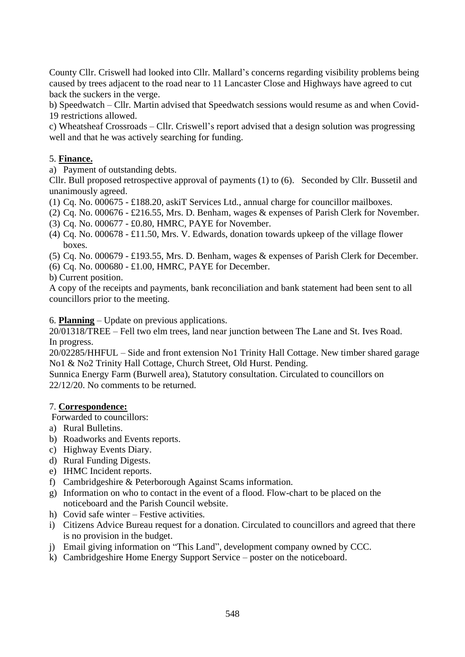County Cllr. Criswell had looked into Cllr. Mallard's concerns regarding visibility problems being caused by trees adjacent to the road near to 11 Lancaster Close and Highways have agreed to cut back the suckers in the verge.

b) Speedwatch – Cllr. Martin advised that Speedwatch sessions would resume as and when Covid-19 restrictions allowed.

c) Wheatsheaf Crossroads – Cllr. Criswell's report advised that a design solution was progressing well and that he was actively searching for funding.

### 5. **Finance.**

a) Payment of outstanding debts.

Cllr. Bull proposed retrospective approval of payments (1) to (6). Seconded by Cllr. Bussetil and unanimously agreed.

- (1) Cq. No. 000675 £188.20, askiT Services Ltd., annual charge for councillor mailboxes.
- (2) Cq. No. 000676 £216.55, Mrs. D. Benham, wages & expenses of Parish Clerk for November.
- (3) Cq. No. 000677 £0.80, HMRC, PAYE for November.
- (4) Cq. No. 000678 £11.50, Mrs. V. Edwards, donation towards upkeep of the village flower boxes.
- (5) Cq. No. 000679 £193.55, Mrs. D. Benham, wages & expenses of Parish Clerk for December.
- (6) Cq. No. 000680 £1.00, HMRC, PAYE for December.
- b) Current position.

A copy of the receipts and payments, bank reconciliation and bank statement had been sent to all councillors prior to the meeting.

6. **Planning** – Update on previous applications.

20/01318/TREE – Fell two elm trees, land near junction between The Lane and St. Ives Road. In progress.

20/02285/HHFUL – Side and front extension No1 Trinity Hall Cottage. New timber shared garage No1 & No2 Trinity Hall Cottage, Church Street, Old Hurst. Pending.

Sunnica Energy Farm (Burwell area), Statutory consultation. Circulated to councillors on 22/12/20. No comments to be returned.

### 7. **Correspondence:**

Forwarded to councillors:

- a) Rural Bulletins.
- b) Roadworks and Events reports.
- c) Highway Events Diary.
- d) Rural Funding Digests.
- e) IHMC Incident reports.
- f) Cambridgeshire & Peterborough Against Scams information.
- g) Information on who to contact in the event of a flood. Flow-chart to be placed on the noticeboard and the Parish Council website.
- h) Covid safe winter Festive activities.
- i) Citizens Advice Bureau request for a donation. Circulated to councillors and agreed that there is no provision in the budget.
- j) Email giving information on "This Land", development company owned by CCC.
- k) Cambridgeshire Home Energy Support Service poster on the noticeboard.